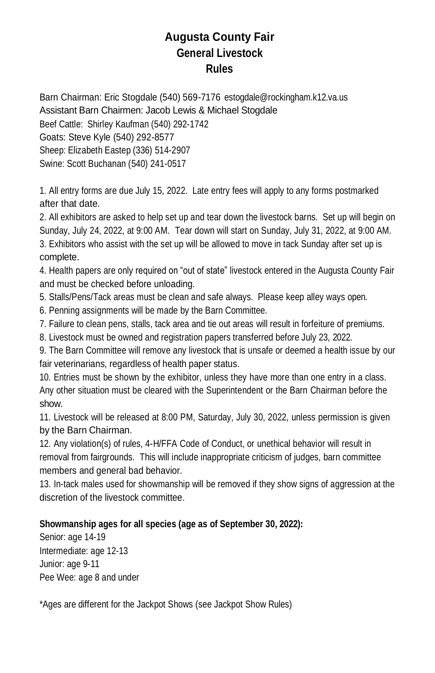## **Augusta County Fair General Livestock Rules**

Barn Chairman: Eric Stogdale (540) 569-7176 [estogdale@rockingham.k12.va.us](about:blank) Assistant Barn Chairmen: Jacob Lewis & Michael Stogdale Beef Cattle: Shirley Kaufman (540) 292-1742 Goats: Steve Kyle (540) 292-8577 Sheep: Elizabeth Eastep (336) 514-2907 Swine: Scott Buchanan (540) 241-0517

1. All entry forms are due July 15, 2022. Late entry fees will apply to any forms postmarked after that date.

2. All exhibitors are asked to help set up and tear down the livestock barns. Set up will begin on Sunday, July 24, 2022, at 9:00 AM. Tear down will start on Sunday, July 31, 2022, at 9:00 AM. 3. Exhibitors who assist with the set up will be allowed to move in tack Sunday after set up is complete.

4. Health papers are only required on "out of state" livestock entered in the Augusta County Fair and must be checked before unloading.

5. Stalls/Pens/Tack areas must be clean and safe always. Please keep alley ways open.

6. Penning assignments will be made by the Barn Committee.

7. Failure to clean pens, stalls, tack area and tie out areas will result in forfeiture of premiums.

8. Livestock must be owned and registration papers transferred before July 23, 2022.

9. The Barn Committee will remove any livestock that is unsafe or deemed a health issue by our fair veterinarians, regardless of health paper status.

10. Entries must be shown by the exhibitor, unless they have more than one entry in a class. Any other situation must be cleared with the Superintendent or the Barn Chairman before the show.

11. Livestock will be released at 8:00 PM, Saturday, July 30, 2022, unless permission is given by the Barn Chairman.

12. Any violation(s) of rules, 4-H/FFA Code of Conduct, or unethical behavior will result in removal from fairgrounds. This will include inappropriate criticism of judges, barn committee members and general bad behavior.

13. In-tack males used for showmanship will be removed if they show signs of aggression at the discretion of the livestock committee.

### **Showmanship ages for all species (age as of September 30, 2022):**

Senior: age 14-19 Intermediate: age 12-13 Junior: age 9-11 Pee Wee: age 8 and under

\*Ages are different for the Jackpot Shows (see Jackpot Show Rules)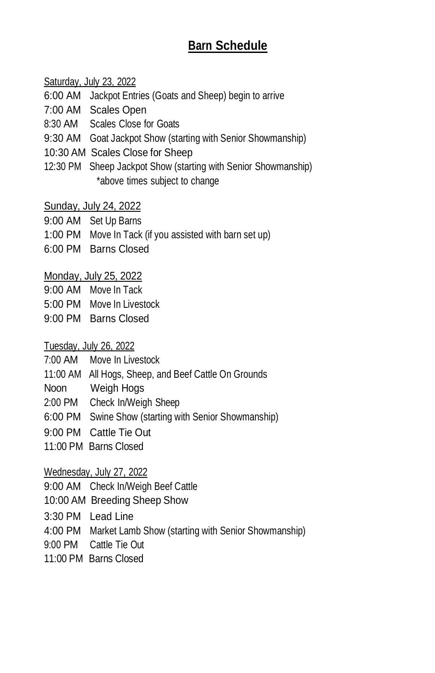# **Barn Schedule**

Saturday, July 23, 2022

- 6:00 AM Jackpot Entries (Goats and Sheep) begin to arrive
- 7:00 AM Scales Open
- 8:30 AM Scales Close for Goats
- 9:30 AM Goat Jackpot Show (starting with Senior Showmanship)
- 10:30 AM Scales Close for Sheep
- 12:30 PM Sheep Jackpot Show (starting with Senior Showmanship) \*above times subject to change

Sunday, July 24, 2022

- 9:00 AM Set Up Barns
- 1:00 PM Move In Tack (if you assisted with barn set up)
- 6:00 PM Barns Closed

Monday, July 25, 2022

- 9:00 AM Move In Tack
- 5:00 PM Move In Livestock
- 9:00 PM Barns Closed

Tuesday, July 26, 2022

- 7:00 AM Move In Livestock
- 11:00 AM All Hogs, Sheep, and Beef Cattle On Grounds
- Noon Weigh Hogs
- 2:00 PM Check In/Weigh Sheep
- 6:00 PM Swine Show (starting with Senior Showmanship)
- 9:00 PM Cattle Tie Out
- 11:00 PM Barns Closed

Wednesday, July 27, 2022

9:00 AM Check In/Weigh Beef Cattle

10:00 AM Breeding Sheep Show

- 3:30 PM Lead Line
- 4:00 PM Market Lamb Show (starting with Senior Showmanship)
- 9:00 PM Cattle Tie Out
- 11:00 PM Barns Closed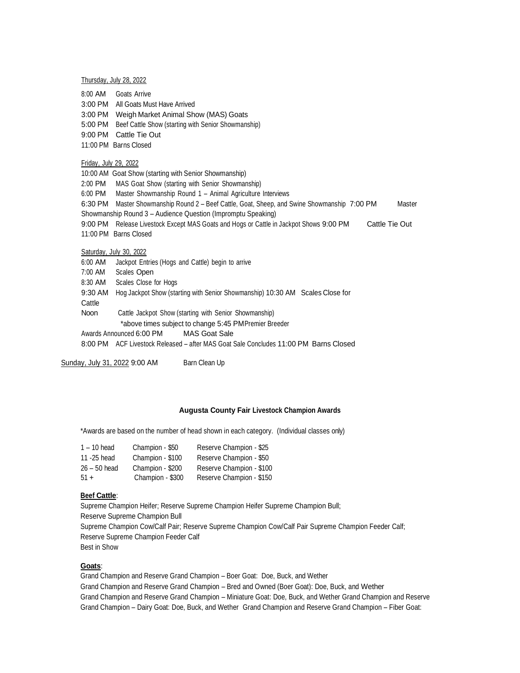Thursday, July 28, 2022

- 8:00 AM Goats Arrive
- 3:00 PM All Goats Must Have Arrived
- 3:00 PM Weigh Market Animal Show (MAS) Goats
- 5:00 PM Beef Cattle Show (starting with Senior Showmanship)
- 9:00 PM Cattle Tie Out
- 11:00 PM Barns Closed

#### Friday, July 29, 2022

- 10:00 AM Goat Show (starting with Senior Showmanship)
- 2:00 PM MAS Goat Show (starting with Senior Showmanship)
- 6:00 PM Master Showmanship Round 1 Animal Agriculture Interviews
- 6:30 PM Master Showmanship Round 2 Beef Cattle, Goat, Sheep, and Swine Showmanship 7:00 PM Master Showmanship Round 3 – Audience Question (Impromptu Speaking)
- 9:00 PM Release Livestock Except MAS Goats and Hogs or Cattle in Jackpot Shows 9:00 PM Cattle Tie Out
- 11:00 PM Barns Closed

### Saturday, July 30, 2022

- 6:00 AM Jackpot Entries (Hogs and Cattle) begin to arrive
- 7:00 AM Scales Open
- 8:30 AM Scales Close for Hogs
- 9:30 AM Hog Jackpot Show (starting with Senior Showmanship) 10:30 AM Scales Close for
- **Cattle**

Noon Cattle Jackpot Show (starting with Senior Showmanship)

- \*above times subject to change 5:45 PMPremier Breeder
- Awards Announced 6:00 PM MAS Goat Sale

8:00 PM ACF Livestock Released – after MAS Goat Sale Concludes 11:00 PM Barns Closed

Sunday, July 31, 2022 9:00 AM Barn Clean Up

#### **Augusta County Fair Livestock Champion Awards**

\*Awards are based on the number of head shown in each category. (Individual classes only)

| $1 - 10$ head  | Champion - \$50  | Reserve Champion - \$25  |
|----------------|------------------|--------------------------|
| 11 - 25 head   | Champion - \$100 | Reserve Champion - \$50  |
| $26 - 50$ head | Champion - \$200 | Reserve Champion - \$100 |
| $51 +$         | Champion - \$300 | Reserve Champion - \$150 |

#### **Beef Cattle**:

Supreme Champion Heifer; Reserve Supreme Champion Heifer Supreme Champion Bull; Reserve Supreme Champion Bull Supreme Champion Cow/Calf Pair; Reserve Supreme Champion Cow/Calf Pair Supreme Champion Feeder Calf; Reserve Supreme Champion Feeder Calf Best in Show

## **Goats**:

Grand Champion and Reserve Grand Champion – Boer Goat: Doe, Buck, and Wether Grand Champion and Reserve Grand Champion – Bred and Owned (Boer Goat): Doe, Buck, and Wether Grand Champion and Reserve Grand Champion – Miniature Goat: Doe, Buck, and Wether Grand Champion and Reserve Grand Champion – Dairy Goat: Doe, Buck, and Wether Grand Champion and Reserve Grand Champion – Fiber Goat: